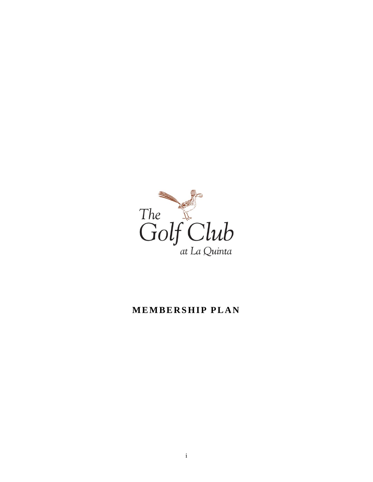

# **MEMBERSHIP PLAN**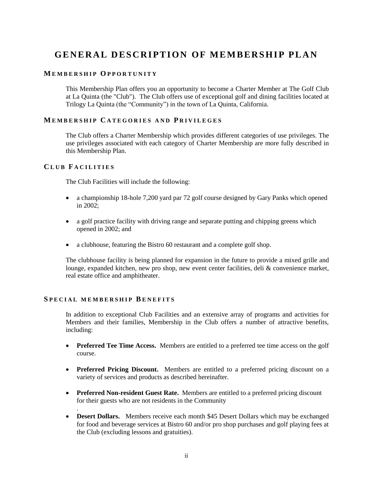# **GENERAL DESCRIPTION OF MEMBERSHIP PLAN**

# **M E M B E R S H I P O P P O R T U N I T Y**

This Membership Plan offers you an opportunity to become a Charter Member at The Golf Club at La Quinta (the "Club"). The Club offers use of exceptional golf and dining facilities located at Trilogy La Quinta (the "Community") in the town of La Quinta, California.

## **M E M B E R S H I P C A T E G O R I E S A N D P R I V I L E G E S**

The Club offers a Charter Membership which provides different categories of use privileges. The use privileges associated with each category of Charter Membership are more fully described in this Membership Plan.

## **C L U B F A C I L I T I E S**

.

The Club Facilities will include the following:

- a championship 18-hole 7,200 yard par 72 golf course designed by Gary Panks which opened in 2002;
- a golf practice facility with driving range and separate putting and chipping greens which opened in 2002; and
- a clubhouse, featuring the Bistro 60 restaurant and a complete golf shop.

The clubhouse facility is being planned for expansion in the future to provide a mixed grille and lounge, expanded kitchen, new pro shop, new event center facilities, deli & convenience market, real estate office and amphitheater.

# **S P E C I A L M E M B E R S H I P B E N E F I T S**

In addition to exceptional Club Facilities and an extensive array of programs and activities for Members and their families, Membership in the Club offers a number of attractive benefits, including:

- **Preferred Tee Time Access.** Members are entitled to a preferred tee time access on the golf course.
- **Preferred Pricing Discount.** Members are entitled to a preferred pricing discount on a variety of services and products as described hereinafter.
- **Preferred Non-resident Guest Rate.** Members are entitled to a preferred pricing discount for their guests who are not residents in the Community
- **Desert Dollars.** Members receive each month \$45 Desert Dollars which may be exchanged for food and beverage services at Bistro 60 and/or pro shop purchases and golf playing fees at the Club (excluding lessons and gratuities).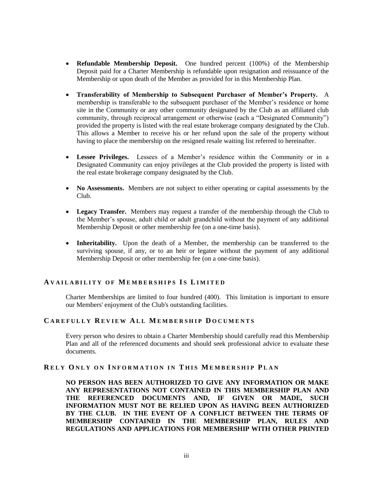- **Refundable Membership Deposit.** One hundred percent (100%) of the Membership Deposit paid for a Charter Membership is refundable upon resignation and reissuance of the Membership or upon death of the Member as provided for in this Membership Plan.
- **Transferability of Membership to Subsequent Purchaser of Member's Property.** A membership is transferable to the subsequent purchaser of the Member's residence or home site in the Community or any other community designated by the Club as an affiliated club community, through reciprocal arrangement or otherwise (each a "Designated Community") provided the property is listed with the real estate brokerage company designated by the Club. This allows a Member to receive his or her refund upon the sale of the property without having to place the membership on the resigned resale waiting list referred to hereinafter.
- **Lessee Privileges.** Lessees of a Member's residence within the Community or in a Designated Community can enjoy privileges at the Club provided the property is listed with the real estate brokerage company designated by the Club.
- No Assessments. Members are not subject to either operating or capital assessments by the Club.
- Legacy Transfer. Members may request a transfer of the membership through the Club to the Member's spouse, adult child or adult grandchild without the payment of any additional Membership Deposit or other membership fee (on a one-time basis).
- **Inheritability.** Upon the death of a Member, the membership can be transferred to the surviving spouse, if any, or to an heir or legatee without the payment of any additional Membership Deposit or other membership fee (on a one-time basis).

# **A V A I L A B I L I T Y O F M E M B E R S H I P S I S L I M I T E D**

Charter Memberships are limited to four hundred (400). This limitation is important to ensure our Members' enjoyment of the Club's outstanding facilities.

### **C A R E F U L L Y R E V I E W A L L M E M B E R S H I P D O C U M E N T S**

Every person who desires to obtain a Charter Membership should carefully read this Membership Plan and all of the referenced documents and should seek professional advice to evaluate these documents.

#### **R E L Y O N L Y O N I N F O R M A T I O N I N T H I S ME M B E R S H I P P L A N**

**NO PERSON HAS BEEN AUTHORIZED TO GIVE ANY INFORMATION OR MAKE ANY REPRESENTATIONS NOT CONTAINED IN THIS MEMBERSHIP PLAN AND THE REFERENCED DOCUMENTS AND, IF GIVEN OR MADE, SUCH INFORMATION MUST NOT BE RELIED UPON AS HAVING BEEN AUTHORIZED BY THE CLUB. IN THE EVENT OF A CONFLICT BETWEEN THE TERMS OF MEMBERSHIP CONTAINED IN THE MEMBERSHIP PLAN, RULES AND REGULATIONS AND APPLICATIONS FOR MEMBERSHIP WITH OTHER PRINTED**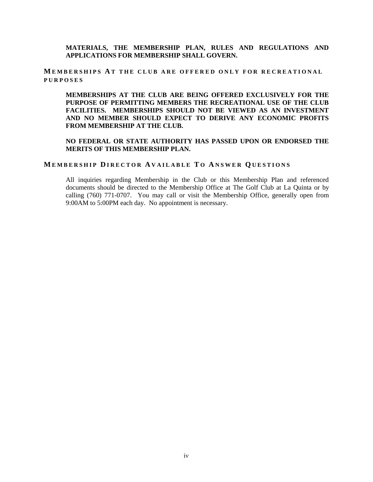**MATERIALS, THE MEMBERSHIP PLAN, RULES AND REGULATIONS AND APPLICATIONS FOR MEMBERSHIP SHALL GOVERN.**

**M E M B E R S H I P S A T T H E C L U B A R E O F F E R E D O N L Y F O R R E C R E A T I O N A L P U R P O S E S**

**MEMBERSHIPS AT THE CLUB ARE BEING OFFERED EXCLUSIVELY FOR THE PURPOSE OF PERMITTING MEMBERS THE RECREATIONAL USE OF THE CLUB FACILITIES. MEMBERSHIPS SHOULD NOT BE VIEWED AS AN INVESTMENT AND NO MEMBER SHOULD EXPECT TO DERIVE ANY ECONOMIC PROFITS FROM MEMBERSHIP AT THE CLUB.**

**NO FEDERAL OR STATE AUTHORITY HAS PASSED UPON OR ENDORSED THE MERITS OF THIS MEMBERSHIP PLAN.**

#### **M E M B E R S H I P D I R E C T O R A V A I L A B L E T O A N S W E R Q U E S T I O N S**

All inquiries regarding Membership in the Club or this Membership Plan and referenced documents should be directed to the Membership Office at The Golf Club at La Quinta or by calling (760) 771-0707. You may call or visit the Membership Office, generally open from 9:00AM to 5:00PM each day. No appointment is necessary.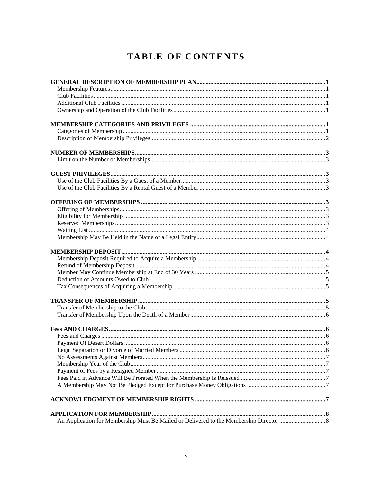# TABLE OF CONTENTS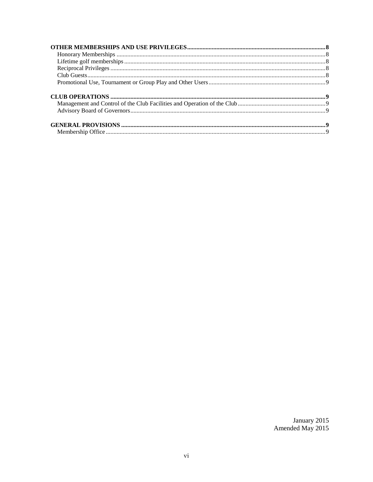January 2015<br>Amended May 2015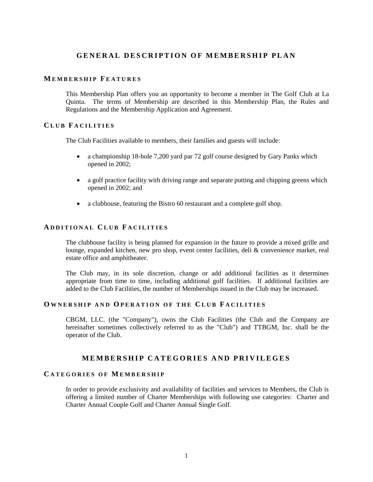# **G E N E R A L D E S C R I P T I O N O F M E M B E R S H I P P L A N**

## **M E M B E R S H I P F E A T U R E S**

This Membership Plan offers you an opportunity to become a member in The Golf Club at La Quinta. The terms of Membership are described in this Membership Plan, the Rules and Regulations and the Membership Application and Agreement.

### **C L U B F A C I L I T I E S**

The Club Facilities available to members, their families and guests will include:

- a championship 18-hole 7,200 yard par 72 golf course designed by Gary Panks which opened in 2002;
- a golf practice facility with driving range and separate putting and chipping greens which opened in 2002; and
- a clubhouse, featuring the Bistro 60 restaurant and a complete golf shop.

## **A D D I T I O N A L C L U B F A C I L I T I E S**

The clubhouse facility is being planned for expansion in the future to provide a mixed grille and lounge, expanded kitchen, new pro shop, event center facilities, deli & convenience market, real estate office and amphitheater.

The Club may, in its sole discretion, change or add additional facilities as it determines appropriate from time to time, including additional golf facilities. If additional facilities are added to the Club Facilities, the number of Memberships issued in the Club may be increased.

#### **O W N E R S H I P A N D O P E R A T I O N O F T H E C L U B F A C I L I T I E S**

CBGM, LLC. (the "Company"), owns the Club Facilities (the Club and the Company are hereinafter sometimes collectively referred to as the "Club") and TTBGM, Inc. shall be the operator of the Club.

# **M E M B E R S H I P C A T E G O R I E S A N D P R I V I L E G E S**

#### **C A T E G O R I E S O F M E M B E R S H I P**

In order to provide exclusivity and availability of facilities and services to Members, the Club is offering a limited number of Charter Memberships with following use categories: Charter and Charter Annual Couple Golf and Charter Annual Single Golf.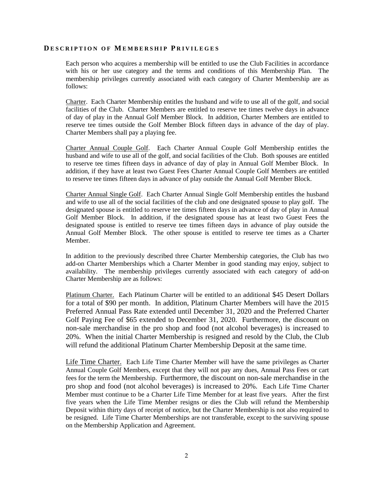#### **D E S C R I P T I O N O F M E M B E R S H I P P R I V I L E G E S**

Each person who acquires a membership will be entitled to use the Club Facilities in accordance with his or her use category and the terms and conditions of this Membership Plan. The membership privileges currently associated with each category of Charter Membership are as follows:

Charter. Each Charter Membership entitles the husband and wife to use all of the golf, and social facilities of the Club. Charter Members are entitled to reserve tee times twelve days in advance of day of play in the Annual Golf Member Block. In addition, Charter Members are entitled to reserve tee times outside the Golf Member Block fifteen days in advance of the day of play. Charter Members shall pay a playing fee.

Charter Annual Couple Golf. Each Charter Annual Couple Golf Membership entitles the husband and wife to use all of the golf, and social facilities of the Club. Both spouses are entitled to reserve tee times fifteen days in advance of day of play in Annual Golf Member Block. In addition, if they have at least two Guest Fees Charter Annual Couple Golf Members are entitled to reserve tee times fifteen days in advance of play outside the Annual Golf Member Block.

Charter Annual Single Golf. Each Charter Annual Single Golf Membership entitles the husband and wife to use all of the social facilities of the club and one designated spouse to play golf. The designated spouse is entitled to reserve tee times fifteen days in advance of day of play in Annual Golf Member Block. In addition, if the designated spouse has at least two Guest Fees the designated spouse is entitled to reserve tee times fifteen days in advance of play outside the Annual Golf Member Block. The other spouse is entitled to reserve tee times as a Charter Member.

In addition to the previously described three Charter Membership categories, the Club has two add-on Charter Memberships which a Charter Member in good standing may enjoy, subject to availability. The membership privileges currently associated with each category of add-on Charter Membership are as follows:

Platinum Charter. Each Platinum Charter will be entitled to an additional \$45 Desert Dollars for a total of \$90 per month. In addition, Platinum Charter Members will have the 2015 Preferred Annual Pass Rate extended until December 31, 2020 and the Preferred Charter Golf Paying Fee of \$65 extended to December 31, 2020. Furthermore, the discount on non-sale merchandise in the pro shop and food (not alcohol beverages) is increased to 20%. When the initial Charter Membership is resigned and resold by the Club, the Club will refund the additional Platinum Charter Membership Deposit at the same time.

Life Time Charter. Each Life Time Charter Member will have the same privileges as Charter Annual Couple Golf Members, except that they will not pay any dues, Annual Pass Fees or cart fees for the term the Membership. Furthermore, the discount on non-sale merchandise in the pro shop and food (not alcohol beverages) is increased to 20%. Each Life Time Charter Member must continue to be a Charter Life Time Member for at least five years. After the first five years when the Life Time Member resigns or dies the Club will refund the Membership Deposit within thirty days of receipt of notice, but the Charter Membership is not also required to be resigned. Life Time Charter Memberships are not transferable, except to the surviving spouse on the Membership Application and Agreement.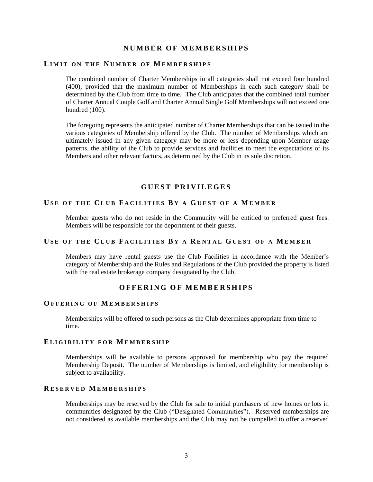# **N U M B E R O F M E M B E R S H I P S**

# **LIMIT ON THE NUMBER OF MEMBERSHIPS**

The combined number of Charter Memberships in all categories shall not exceed four hundred (400), provided that the maximum number of Memberships in each such category shall be determined by the Club from time to time. The Club anticipates that the combined total number of Charter Annual Couple Golf and Charter Annual Single Golf Memberships will not exceed one hundred (100).

The foregoing represents the anticipated number of Charter Memberships that can be issued in the various categories of Membership offered by the Club. The number of Memberships which are ultimately issued in any given category may be more or less depending upon Member usage patterns, the ability of the Club to provide services and facilities to meet the expectations of its Members and other relevant factors, as determined by the Club in its sole discretion.

#### **G U E S T P R I V I L E G E S**

## **U S E O F T H E C L U B F A C I L I T I E S B Y A G U E S T O F A M E M B E R**

Member guests who do not reside in the Community will be entitled to preferred guest fees. Members will be responsible for the deportment of their guests.

## **U S E O F T H E C L U B F A C I L I T I E S B Y A R E N T A L G U E S T O F A ME M B E R**

Members may have rental guests use the Club Facilities in accordance with the Member's category of Membership and the Rules and Regulations of the Club provided the property is listed with the real estate brokerage company designated by the Club.

# **O F F E R I N G O F M E M B E R S H I P S**

#### **O F F E R I N G O F M E M B E R S H I P S**

Memberships will be offered to such persons as the Club determines appropriate from time to time.

#### **E L I G I B I L I T Y F O R M E M B E R S H I P**

Memberships will be available to persons approved for membership who pay the required Membership Deposit. The number of Memberships is limited, and eligibility for membership is subject to availability.

## **R E S E R V E D M E M B E R S H I P S**

Memberships may be reserved by the Club for sale to initial purchasers of new homes or lots in communities designated by the Club ("Designated Communities"). Reserved memberships are not considered as available memberships and the Club may not be compelled to offer a reserved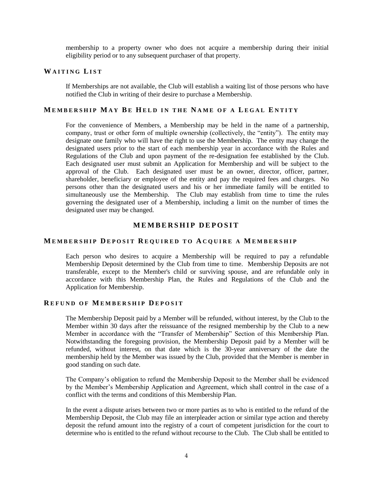membership to a property owner who does not acquire a membership during their initial eligibility period or to any subsequent purchaser of that property.

# **W A I T I N G LI S T**

If Memberships are not available, the Club will establish a waiting list of those persons who have notified the Club in writing of their desire to purchase a Membership.

## **M E M B E R S H I P M A Y BE H E L D I N T H E N A M E O F A LE G A L E N T I T Y**

For the convenience of Members, a Membership may be held in the name of a partnership, company, trust or other form of multiple ownership (collectively, the "entity"). The entity may designate one family who will have the right to use the Membership. The entity may change the designated users prior to the start of each membership year in accordance with the Rules and Regulations of the Club and upon payment of the re-designation fee established by the Club. Each designated user must submit an Application for Membership and will be subject to the approval of the Club. Each designated user must be an owner, director, officer, partner, shareholder, beneficiary or employee of the entity and pay the required fees and charges. No persons other than the designated users and his or her immediate family will be entitled to simultaneously use the Membership. The Club may establish from time to time the rules governing the designated user of a Membership, including a limit on the number of times the designated user may be changed.

# **M E M B E R S H I P D E P O S I T**

#### **M E M B E R S H I P D E P O S I T R E Q U I R E D T O A C Q U I R E A M E M B E R S H I P**

Each person who desires to acquire a Membership will be required to pay a refundable Membership Deposit determined by the Club from time to time. Membership Deposits are not transferable, except to the Member's child or surviving spouse, and are refundable only in accordance with this Membership Plan, the Rules and Regulations of the Club and the Application for Membership.

#### **R E F U N D O F M E M B E R S H I P D E P O S I T**

The Membership Deposit paid by a Member will be refunded, without interest, by the Club to the Member within 30 days after the reissuance of the resigned membership by the Club to a new Member in accordance with the "Transfer of Membership" Section of this Membership Plan. Notwithstanding the foregoing provision, the Membership Deposit paid by a Member will be refunded, without interest, on that date which is the 30-year anniversary of the date the membership held by the Member was issued by the Club, provided that the Member is member in good standing on such date.

The Company's obligation to refund the Membership Deposit to the Member shall be evidenced by the Member's Membership Application and Agreement, which shall control in the case of a conflict with the terms and conditions of this Membership Plan.

In the event a dispute arises between two or more parties as to who is entitled to the refund of the Membership Deposit, the Club may file an interpleader action or similar type action and thereby deposit the refund amount into the registry of a court of competent jurisdiction for the court to determine who is entitled to the refund without recourse to the Club. The Club shall be entitled to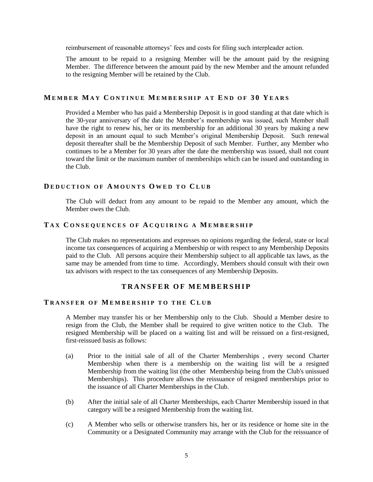reimbursement of reasonable attorneys' fees and costs for filing such interpleader action.

The amount to be repaid to a resigning Member will be the amount paid by the resigning Member. The difference between the amount paid by the new Member and the amount refunded to the resigning Member will be retained by the Club.

## **M E M B E R M A Y C O N T I N U E M E M B E R S H I P A T E N D O F 3 0 Y E A R S**

Provided a Member who has paid a Membership Deposit is in good standing at that date which is the 30-year anniversary of the date the Member's membership was issued, such Member shall have the right to renew his, her or its membership for an additional 30 years by making a new deposit in an amount equal to such Member's original Membership Deposit. Such renewal deposit thereafter shall be the Membership Deposit of such Member. Further, any Member who continues to be a Member for 30 years after the date the membership was issued, shall not count toward the limit or the maximum number of memberships which can be issued and outstanding in the Club.

## **D E D U C T I O N O F A M O U N T S O W E D T O C L U B**

The Club will deduct from any amount to be repaid to the Member any amount, which the Member owes the Club.

## **T A X C O N S E Q U E N C E S O F A C Q U I R I N G A M E M B E R S H I P**

The Club makes no representations and expresses no opinions regarding the federal, state or local income tax consequences of acquiring a Membership or with respect to any Membership Deposits paid to the Club. All persons acquire their Membership subject to all applicable tax laws, as the same may be amended from time to time. Accordingly, Members should consult with their own tax advisors with respect to the tax consequences of any Membership Deposits.

# **T R A N S F E R O F M E M B E R S H I P**

#### **T R A N S F E R O F M E M B E R S H I P T O T H E C L U B**

A Member may transfer his or her Membership only to the Club. Should a Member desire to resign from the Club, the Member shall be required to give written notice to the Club. The resigned Membership will be placed on a waiting list and will be reissued on a first-resigned, first-reissued basis as follows:

- (a) Prior to the initial sale of all of the Charter Memberships , every second Charter Membership when there is a membership on the waiting list will be a resigned Membership from the waiting list (the other Membership being from the Club's unissued Memberships). This procedure allows the reissuance of resigned memberships prior to the issuance of all Charter Memberships in the Club.
- (b) After the initial sale of all Charter Memberships, each Charter Membership issued in that category will be a resigned Membership from the waiting list.
- (c) A Member who sells or otherwise transfers his, her or its residence or home site in the Community or a Designated Community may arrange with the Club for the reissuance of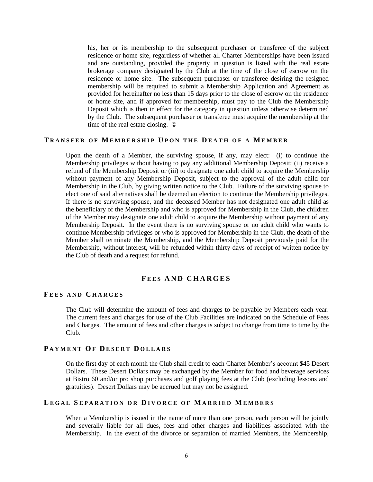his, her or its membership to the subsequent purchaser or transferee of the subject residence or home site, regardless of whether all Charter Memberships have been issued and are outstanding, provided the property in question is listed with the real estate brokerage company designated by the Club at the time of the close of escrow on the residence or home site. The subsequent purchaser or transferee desiring the resigned membership will be required to submit a Membership Application and Agreement as provided for hereinafter no less than 15 days prior to the close of escrow on the residence or home site, and if approved for membership, must pay to the Club the Membership Deposit which is then in effect for the category in question unless otherwise determined by the Club. The subsequent purchaser or transferee must acquire the membership at the time of the real estate closing. **©**

### **T R A N S F E R O F M E M B E R S H I P U P O N T H E D E A T H O F A ME M B E R**

Upon the death of a Member, the surviving spouse, if any, may elect: (i) to continue the Membership privileges without having to pay any additional Membership Deposit; (ii) receive a refund of the Membership Deposit or (iii) to designate one adult child to acquire the Membership without payment of any Membership Deposit, subject to the approval of the adult child for Membership in the Club, by giving written notice to the Club. Failure of the surviving spouse to elect one of said alternatives shall be deemed an election to continue the Membership privileges. If there is no surviving spouse, and the deceased Member has not designated one adult child as the beneficiary of the Membership and who is approved for Membership in the Club, the children of the Member may designate one adult child to acquire the Membership without payment of any Membership Deposit. In the event there is no surviving spouse or no adult child who wants to continue Membership privileges or who is approved for Membership in the Club, the death of the Member shall terminate the Membership, and the Membership Deposit previously paid for the Membership, without interest, will be refunded within thirty days of receipt of written notice by the Club of death and a request for refund.

# **F EES AND C H A R G E S**

## **F EES A N D C H A R G E S**

The Club will determine the amount of fees and charges to be payable by Members each year. The current fees and charges for use of the Club Facilities are indicated on the Schedule of Fees and Charges. The amount of fees and other charges is subject to change from time to time by the Club.

## **P A Y M E N T O F D E S E R T D O L L A R S**

On the first day of each month the Club shall credit to each Charter Member's account \$45 Desert Dollars. These Desert Dollars may be exchanged by the Member for food and beverage services at Bistro 60 and/or pro shop purchases and golf playing fees at the Club (excluding lessons and gratuities). Desert Dollars may be accrued but may not be assigned.

#### **L E G A L S E P A R A T I O N O R D I V O R C E O F M A R R I E D M E M B E R S**

When a Membership is issued in the name of more than one person, each person will be jointly and severally liable for all dues, fees and other charges and liabilities associated with the Membership. In the event of the divorce or separation of married Members, the Membership,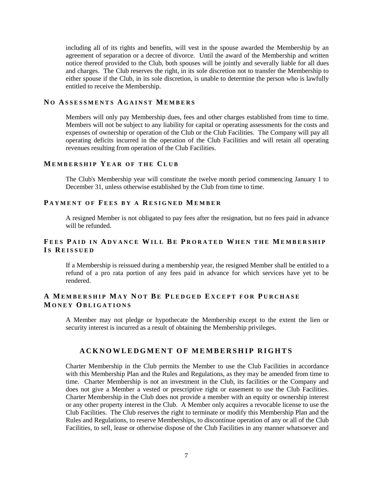including all of its rights and benefits, will vest in the spouse awarded the Membership by an agreement of separation or a decree of divorce. Until the award of the Membership and written notice thereof provided to the Club, both spouses will be jointly and severally liable for all dues and charges. The Club reserves the right, in its sole discretion not to transfer the Membership to either spouse if the Club, in its sole discretion, is unable to determine the person who is lawfully entitled to receive the Membership.

## **N O A S S E S S M E N T S A G A I N S T ME M B E R S**

Members will only pay Membership dues, fees and other charges established from time to time. Members will not be subject to any liability for capital or operating assessments for the costs and expenses of ownership or operation of the Club or the Club Facilities. The Company will pay all operating deficits incurred in the operation of the Club Facilities and will retain all operating revenues resulting from operation of the Club Facilities.

## **M E M B E R S H I P Y E A R O F T H E C L U B**

The Club's Membership year will constitute the twelve month period commencing January 1 to December 31, unless otherwise established by the Club from time to time.

#### **P A Y M E N T O F F E E S B Y A R E S I G N E D M E M B E R**

A resigned Member is not obligated to pay fees after the resignation, but no fees paid in advance will be refunded.

# **F E E S P A I D I N A D V A N C E W I L L B E P R O R A T E D W H E N T H E ME M B E R S H I P I S R E I S S U E D**

If a Membership is reissued during a membership year, the resigned Member shall be entitled to a refund of a pro rata portion of any fees paid in advance for which services have yet to be rendered.

# **A M E M B E R S H I P MAY N O T BE P L E D G E D E X C E P T F O R P U R C H A S E M O N E Y O B L I G A T I O N S**

A Member may not pledge or hypothecate the Membership except to the extent the lien or security interest is incurred as a result of obtaining the Membership privileges.

## **A C K N O W L E D G M E N T O F M E M B E R S H I P R I G H T S**

Charter Membership in the Club permits the Member to use the Club Facilities in accordance with this Membership Plan and the Rules and Regulations, as they may be amended from time to time. Charter Membership is not an investment in the Club, its facilities or the Company and does not give a Member a vested or prescriptive right or easement to use the Club Facilities. Charter Membership in the Club does not provide a member with an equity or ownership interest or any other property interest in the Club. A Member only acquires a revocable license to use the Club Facilities. The Club reserves the right to terminate or modify this Membership Plan and the Rules and Regulations, to reserve Memberships, to discontinue operation of any or all of the Club Facilities, to sell, lease or otherwise dispose of the Club Facilities in any manner whatsoever and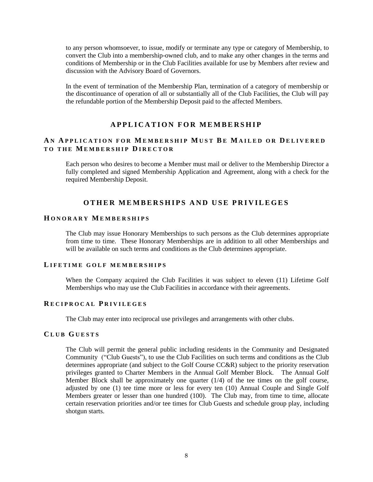to any person whomsoever, to issue, modify or terminate any type or category of Membership, to convert the Club into a membership-owned club, and to make any other changes in the terms and conditions of Membership or in the Club Facilities available for use by Members after review and discussion with the Advisory Board of Governors.

In the event of termination of the Membership Plan, termination of a category of membership or the discontinuance of operation of all or substantially all of the Club Facilities, the Club will pay the refundable portion of the Membership Deposit paid to the affected Members.

# **A P P L I C A T I O N F O R M E M B E R S H I P**

# **A N A P P L I C A T I O N F O R M E M B E R S H I P M U S T B E M A I L E D O R D E L I V E R E D T O T H E ME M B E R S H I P D I R E C T O R**

Each person who desires to become a Member must mail or deliver to the Membership Director a fully completed and signed Membership Application and Agreement, along with a check for the required Membership Deposit.

# **O T H E R M E M B E R S H I P S A N D U S E P R I V I L E G E S**

#### **H O N O R A R Y ME M B E R S H I P S**

The Club may issue Honorary Memberships to such persons as the Club determines appropriate from time to time. These Honorary Memberships are in addition to all other Memberships and will be available on such terms and conditions as the Club determines appropriate.

#### **L I F E T I M E G O L F M E M B E R S H I P S**

When the Company acquired the Club Facilities it was subject to eleven (11) Lifetime Golf Memberships who may use the Club Facilities in accordance with their agreements.

#### **R E C I P R O C A L P R I V I L E G E S**

The Club may enter into reciprocal use privileges and arrangements with other clubs.

#### **C L U B G U E S T S**

The Club will permit the general public including residents in the Community and Designated Community ("Club Guests"), to use the Club Facilities on such terms and conditions as the Club determines appropriate (and subject to the Golf Course CC&R) subject to the priority reservation privileges granted to Charter Members in the Annual Golf Member Block. The Annual Golf Member Block shall be approximately one quarter (1/4) of the tee times on the golf course, adjusted by one (1) tee time more or less for every ten (10) Annual Couple and Single Golf Members greater or lesser than one hundred (100). The Club may, from time to time, allocate certain reservation priorities and/or tee times for Club Guests and schedule group play, including shotgun starts.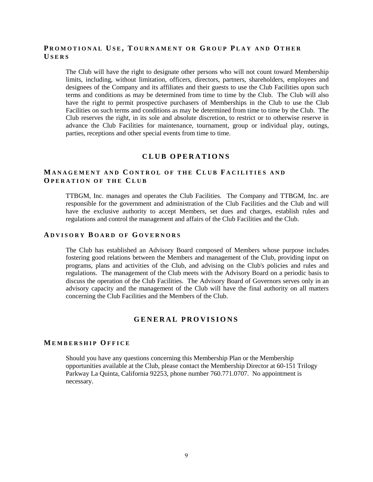# **P R O M O T I O N A L U S E , T O U R N A M E N T O R G R O U P P L A Y A N D O T H E R U S E R S**

The Club will have the right to designate other persons who will not count toward Membership limits, including, without limitation, officers, directors, partners, shareholders, employees and designees of the Company and its affiliates and their guests to use the Club Facilities upon such terms and conditions as may be determined from time to time by the Club. The Club will also have the right to permit prospective purchasers of Memberships in the Club to use the Club Facilities on such terms and conditions as may be determined from time to time by the Club. The Club reserves the right, in its sole and absolute discretion, to restrict or to otherwise reserve in advance the Club Facilities for maintenance, tournament, group or individual play, outings, parties, receptions and other special events from time to time.

### **C L U B O P E R A T I O N S**

# **M A N A G E M E N T A N D C O N T R O L O F T H E C L U B F A C I L I T I E S A N D O P E R A T I O N O F T H E C L U B**

TTBGM, Inc. manages and operates the Club Facilities. The Company and TTBGM, Inc. are responsible for the government and administration of the Club Facilities and the Club and will have the exclusive authority to accept Members, set dues and charges, establish rules and regulations and control the management and affairs of the Club Facilities and the Club.

### **A D V I S O R Y B O A R D O F G O V E R N O R S**

The Club has established an Advisory Board composed of Members whose purpose includes fostering good relations between the Members and management of the Club, providing input on programs, plans and activities of the Club, and advising on the Club's policies and rules and regulations. The management of the Club meets with the Advisory Board on a periodic basis to discuss the operation of the Club Facilities. The Advisory Board of Governors serves only in an advisory capacity and the management of the Club will have the final authority on all matters concerning the Club Facilities and the Members of the Club.

# **G E N E R A L P R O V I S I O N S**

## **M E M B E R S H I P O F F I C E**

Should you have any questions concerning this Membership Plan or the Membership opportunities available at the Club, please contact the Membership Director at 60-151 Trilogy Parkway La Quinta, California 92253, phone number 760.771.0707. No appointment is necessary.